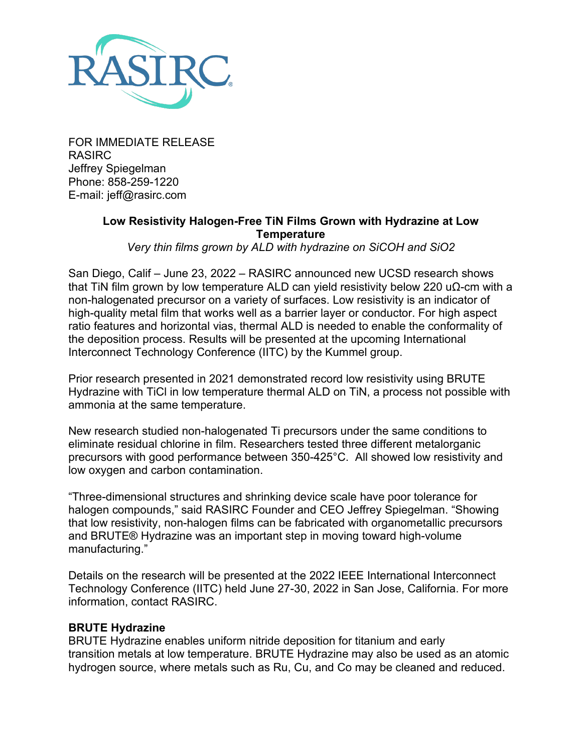

FOR IMMEDIATE RELEASE RASIRC Jeffrey Spiegelman Phone: 858-259-1220 E-mail: jeff@rasirc.com

## **Low Resistivity Halogen-Free TiN Films Grown with Hydrazine at Low Temperature**

*Very thin films grown by ALD with hydrazine on SiCOH and SiO2*

San Diego, Calif – June 23, 2022 – RASIRC announced new UCSD research shows that TiN film grown by low temperature ALD can yield resistivity below 220 uΩ-cm with a non-halogenated precursor on a variety of surfaces. Low resistivity is an indicator of high-quality metal film that works well as a barrier layer or conductor. For high aspect ratio features and horizontal vias, thermal ALD is needed to enable the conformality of the deposition process. Results will be presented at the upcoming International Interconnect Technology Conference (IITC) by the Kummel group.

Prior research presented in 2021 demonstrated record low resistivity using BRUTE Hydrazine with TiCl in low temperature thermal ALD on TiN, a process not possible with ammonia at the same temperature.

New research studied non-halogenated Ti precursors under the same conditions to eliminate residual chlorine in film. Researchers tested three different metalorganic precursors with good performance between 350-425°C. All showed low resistivity and low oxygen and carbon contamination.

"Three-dimensional structures and shrinking device scale have poor tolerance for halogen compounds," said RASIRC Founder and CEO Jeffrey Spiegelman. "Showing that low resistivity, non-halogen films can be fabricated with organometallic precursors and BRUTE® Hydrazine was an important step in moving toward high-volume manufacturing."

Details on the research will be presented at the 2022 IEEE International Interconnect Technology Conference (IITC) held June 27-30, 2022 in San Jose, California. For more information, contact RASIRC.

## **BRUTE Hydrazine**

BRUTE Hydrazine enables uniform nitride deposition for titanium and early transition metals at low temperature. BRUTE Hydrazine may also be used as an atomic hydrogen source, where metals such as Ru, Cu, and Co may be cleaned and reduced.